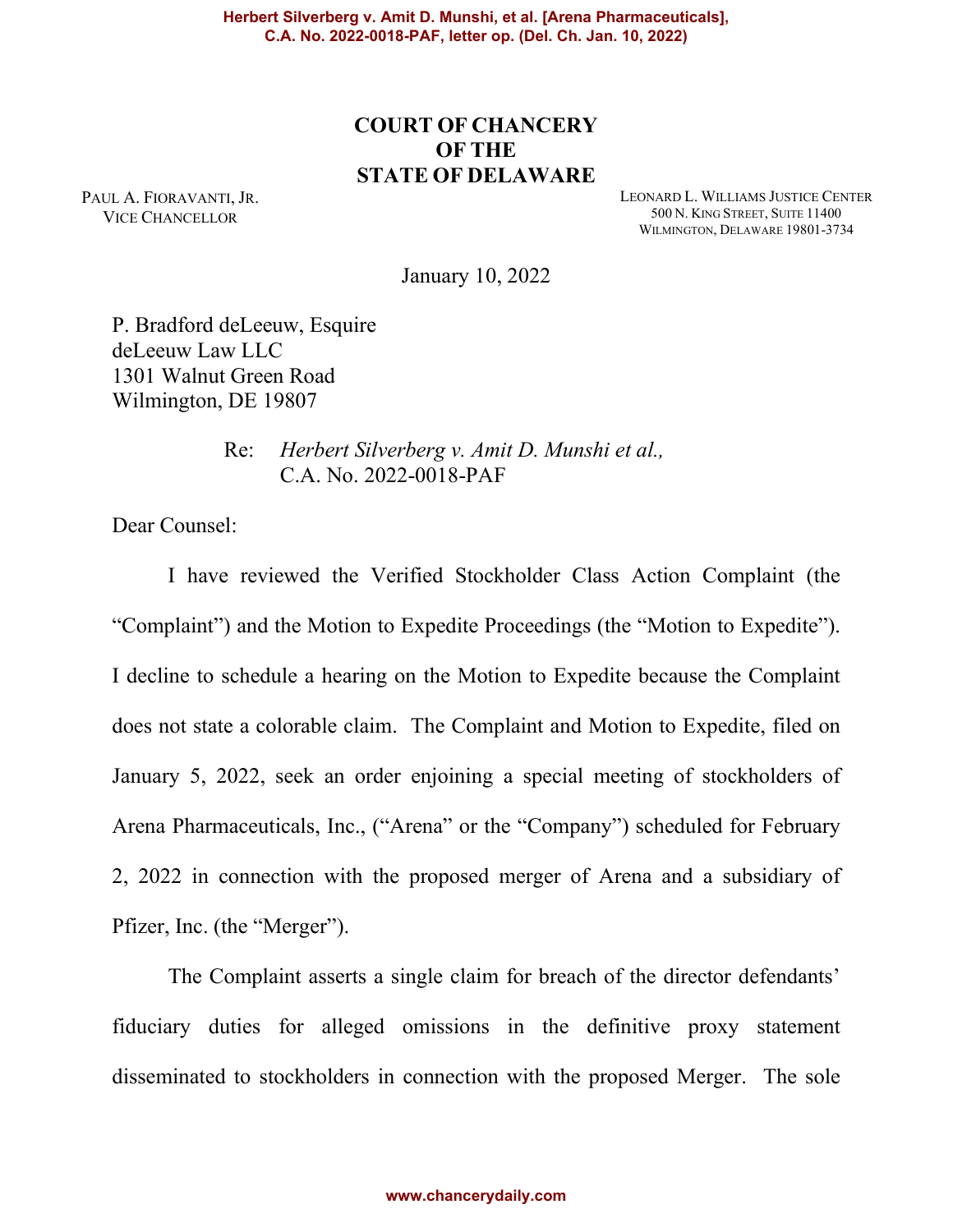# **COURT OF CHANCERY OF THE STATE OF DELAWARE**

PAUL A. FIORAVANTI, JR. VICE CHANCELLOR

LEONARD L. WILLIAMS JUSTICE CENTER 500 N. KING STREET, SUITE 11400 WILMINGTON, DELAWARE 19801-3734

January 10, 2022

P. Bradford deLeeuw, Esquire deLeeuw Law LLC 1301 Walnut Green Road Wilmington, DE 19807

> Re: *Herbert Silverberg v. Amit D. Munshi et al.,* C.A. No. 2022-0018-PAF

Dear Counsel:

I have reviewed the Verified Stockholder Class Action Complaint (the "Complaint") and the Motion to Expedite Proceedings (the "Motion to Expedite"). I decline to schedule a hearing on the Motion to Expedite because the Complaint does not state a colorable claim. The Complaint and Motion to Expedite, filed on January 5, 2022, seek an order enjoining a special meeting of stockholders of Arena Pharmaceuticals, Inc., ("Arena" or the "Company") scheduled for February 2, 2022 in connection with the proposed merger of Arena and a subsidiary of Pfizer, Inc. (the "Merger").

The Complaint asserts a single claim for breach of the director defendants' fiduciary duties for alleged omissions in the definitive proxy statement disseminated to stockholders in connection with the proposed Merger. The sole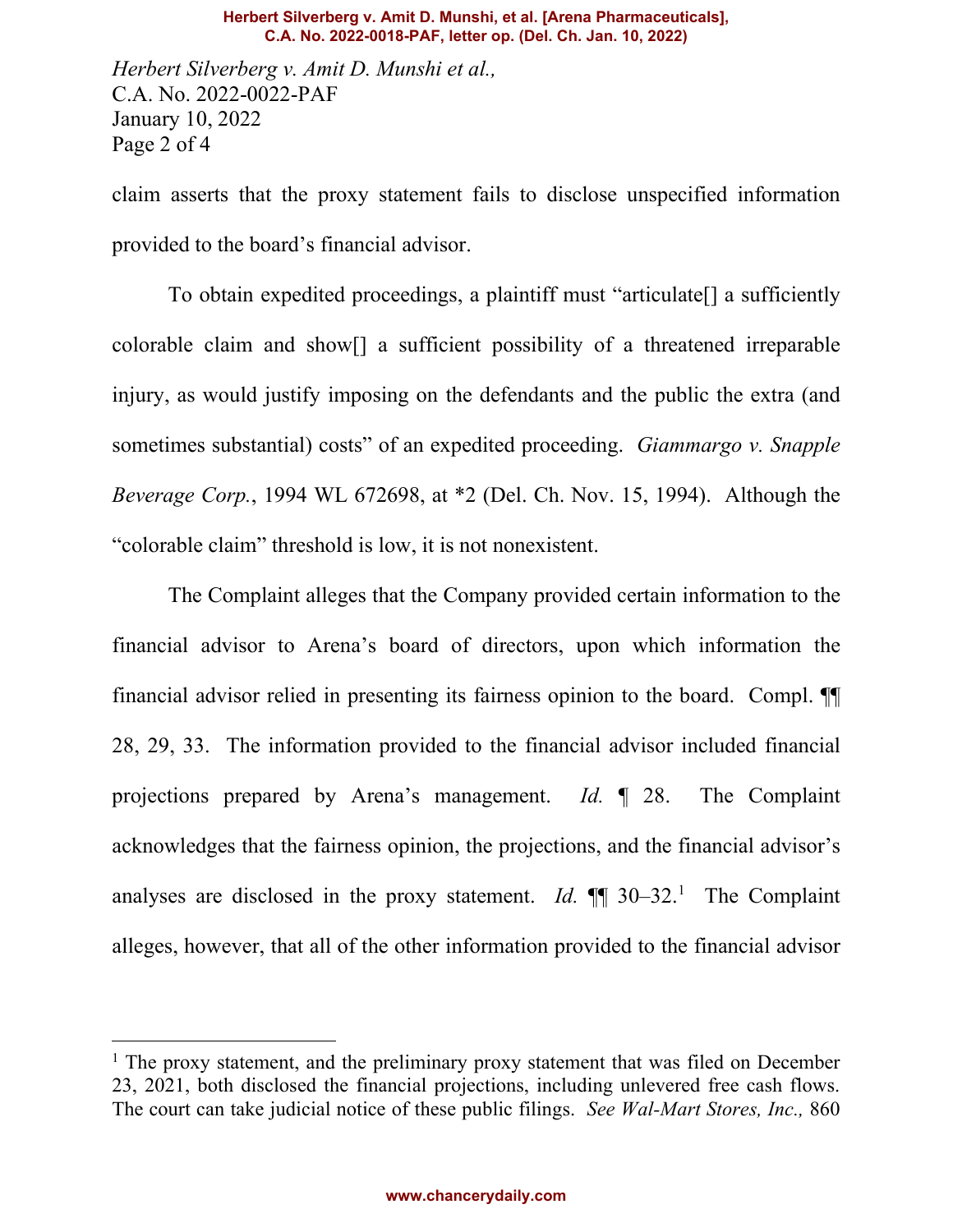#### **Herbert Silverberg v. Amit D. Munshi, et al. [Arena Pharmaceuticals], C.A. No. 2022-0018-PAF, letter op. (Del. Ch. Jan. 10, 2022)**

*Herbert Silverberg v. Amit D. Munshi et al.,*  C.A. No. 2022-0022-PAF January 10, 2022 Page 2 of 4

claim asserts that the proxy statement fails to disclose unspecified information provided to the board's financial advisor.

To obtain expedited proceedings, a plaintiff must "articulate[] a sufficiently colorable claim and show[] a sufficient possibility of a threatened irreparable injury, as would justify imposing on the defendants and the public the extra (and sometimes substantial) costs" of an expedited proceeding. *Giammargo v. Snapple Beverage Corp.*, 1994 WL 672698, at \*2 (Del. Ch. Nov. 15, 1994). Although the "colorable claim" threshold is low, it is not nonexistent.

The Complaint alleges that the Company provided certain information to the financial advisor to Arena's board of directors, upon which information the financial advisor relied in presenting its fairness opinion to the board. Compl. ¶¶ 28, 29, 33. The information provided to the financial advisor included financial projections prepared by Arena's management. *Id.* ¶ 28. The Complaint acknowledges that the fairness opinion, the projections, and the financial advisor's analyses are disclosed in the proxy statement. *Id.*  $\P\P$  30–32.<sup>1</sup> The Complaint alleges, however, that all of the other information provided to the financial advisor

<sup>&</sup>lt;sup>1</sup> The proxy statement, and the preliminary proxy statement that was filed on December 23, 2021, both disclosed the financial projections, including unlevered free cash flows. The court can take judicial notice of these public filings. *See Wal-Mart Stores, Inc.,* 860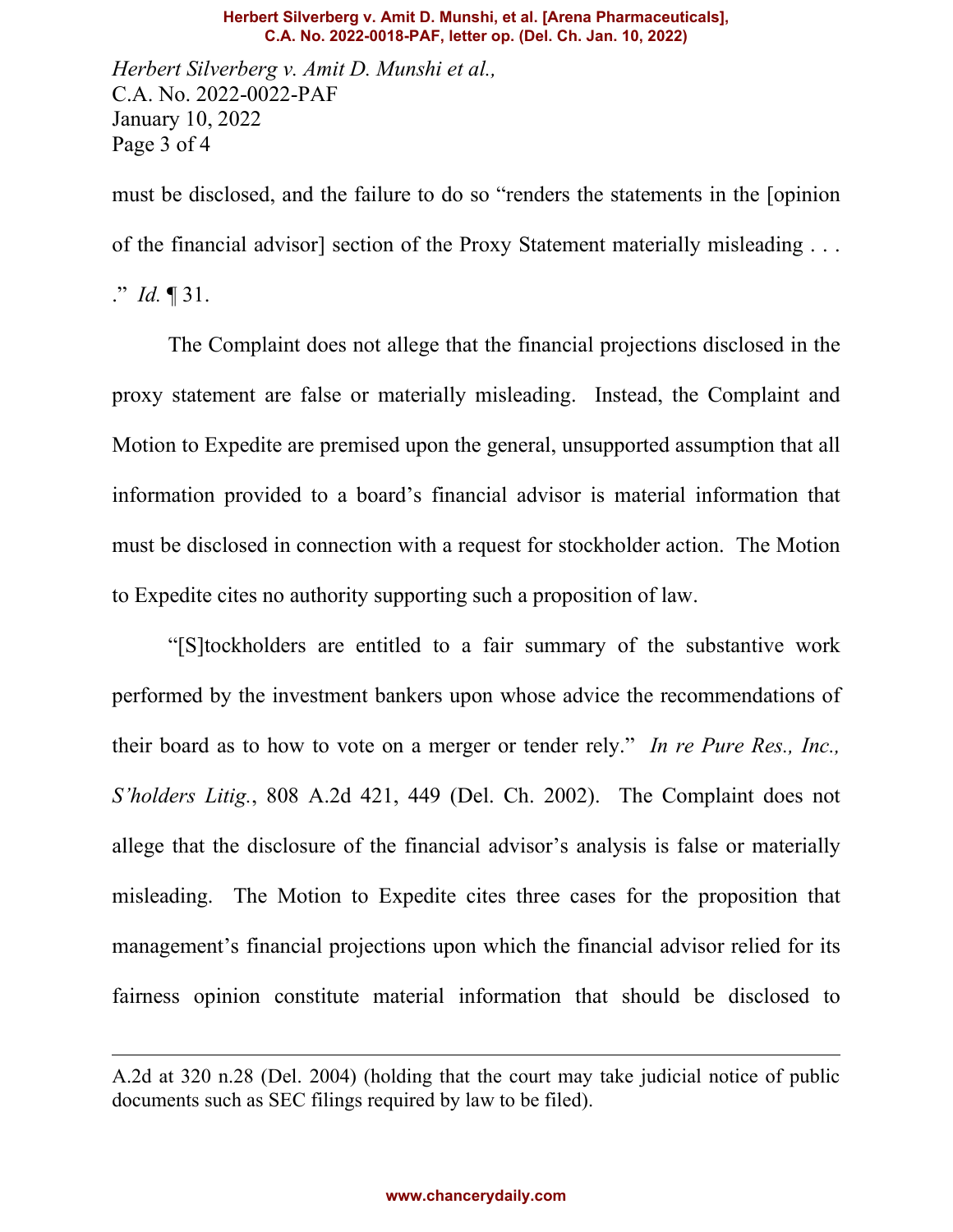#### **Herbert Silverberg v. Amit D. Munshi, et al. [Arena Pharmaceuticals], C.A. No. 2022-0018-PAF, letter op. (Del. Ch. Jan. 10, 2022)**

*Herbert Silverberg v. Amit D. Munshi et al.,*  C.A. No. 2022-0022-PAF January 10, 2022 Page 3 of 4

must be disclosed, and the failure to do so "renders the statements in the [opinion of the financial advisor] section of the Proxy Statement materially misleading . . .

." *Id.* ¶ 31.

The Complaint does not allege that the financial projections disclosed in the proxy statement are false or materially misleading. Instead, the Complaint and Motion to Expedite are premised upon the general, unsupported assumption that all information provided to a board's financial advisor is material information that must be disclosed in connection with a request for stockholder action. The Motion to Expedite cites no authority supporting such a proposition of law.

"[S]tockholders are entitled to a fair summary of the substantive work performed by the investment bankers upon whose advice the recommendations of their board as to how to vote on a merger or tender rely." *In re Pure Res., Inc., S'holders Litig.*, 808 A.2d 421, 449 (Del. Ch. 2002). The Complaint does not allege that the disclosure of the financial advisor's analysis is false or materially misleading. The Motion to Expedite cites three cases for the proposition that management's financial projections upon which the financial advisor relied for its fairness opinion constitute material information that should be disclosed to

A.2d at 320 n.28 (Del. 2004) (holding that the court may take judicial notice of public documents such as SEC filings required by law to be filed).